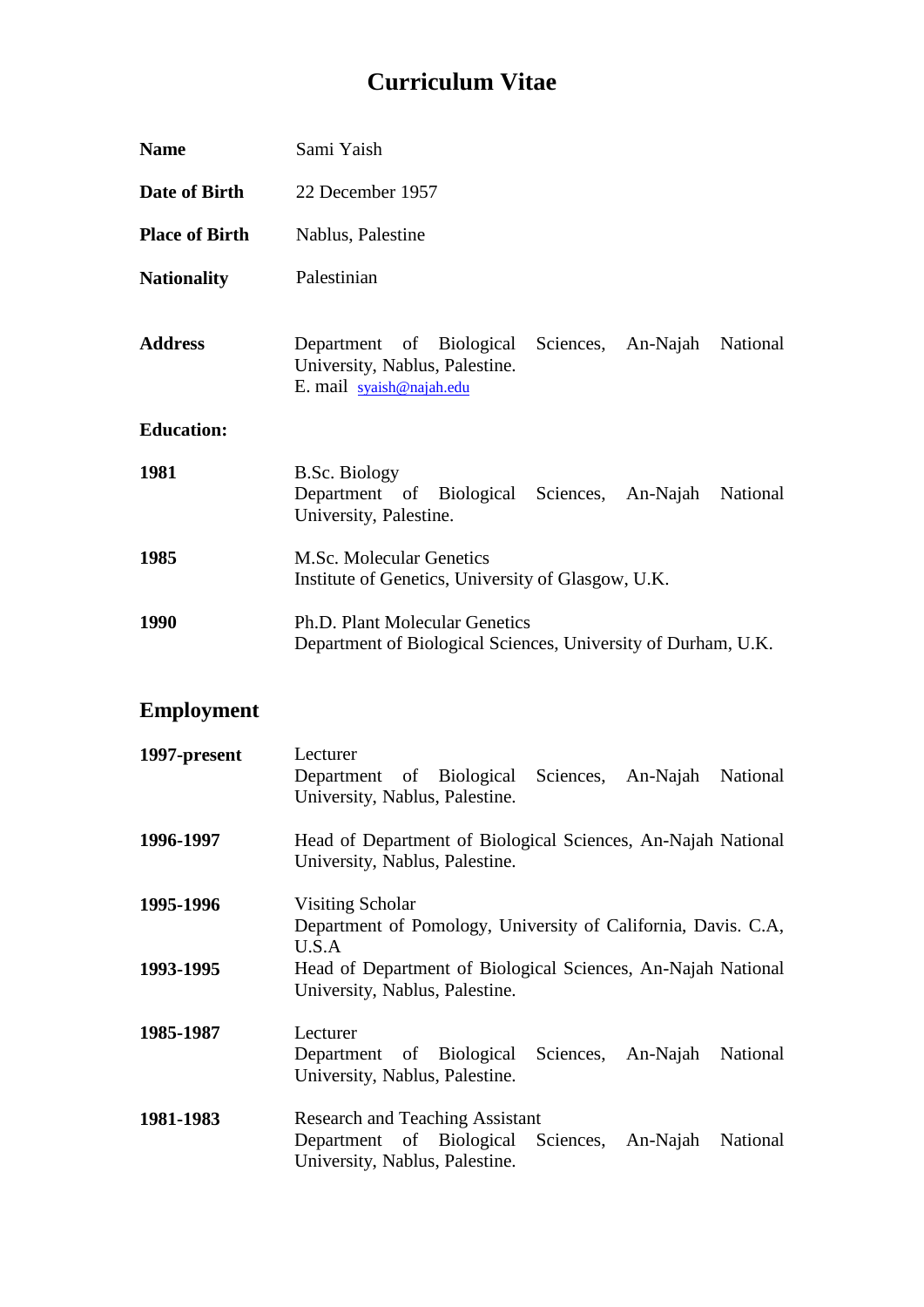## **Curriculum Vitae**

| <b>Name</b>           | Sami Yaish                                                                                                                                   |
|-----------------------|----------------------------------------------------------------------------------------------------------------------------------------------|
| Date of Birth         | 22 December 1957                                                                                                                             |
| <b>Place of Birth</b> | Nablus, Palestine                                                                                                                            |
| <b>Nationality</b>    | Palestinian                                                                                                                                  |
| <b>Address</b>        | Department of Biological<br>Sciences,<br>An-Najah<br>National<br>University, Nablus, Palestine.<br>E. mail syaish@najah.edu                  |
| <b>Education:</b>     |                                                                                                                                              |
| 1981                  | <b>B.Sc. Biology</b><br>Department of Biological Sciences, An-Najah<br>National<br>University, Palestine.                                    |
| 1985                  | <b>M.Sc. Molecular Genetics</b><br>Institute of Genetics, University of Glasgow, U.K.                                                        |
| 1990                  | Ph.D. Plant Molecular Genetics<br>Department of Biological Sciences, University of Durham, U.K.                                              |
| <b>Employment</b>     |                                                                                                                                              |
| 1997-present          | Lecturer<br>of Biological<br>Sciences, An-Najah<br>National<br>Department<br>University, Nablus, Palestine.                                  |
| 1996-1997             | Head of Department of Biological Sciences, An-Najah National<br>University, Nablus, Palestine.                                               |
| 1995-1996             | <b>Visiting Scholar</b><br>Department of Pomology, University of California, Davis. C.A,<br>U.S.A                                            |
| 1993-1995             | Head of Department of Biological Sciences, An-Najah National<br>University, Nablus, Palestine.                                               |
| 1985-1987             | Lecturer<br>Biological<br>Sciences,<br>National<br>Department<br>of<br>An-Najah<br>University, Nablus, Palestine.                            |
| 1981-1983             | <b>Research and Teaching Assistant</b><br>Department<br>of Biological<br>Sciences,<br>National<br>An-Najah<br>University, Nablus, Palestine. |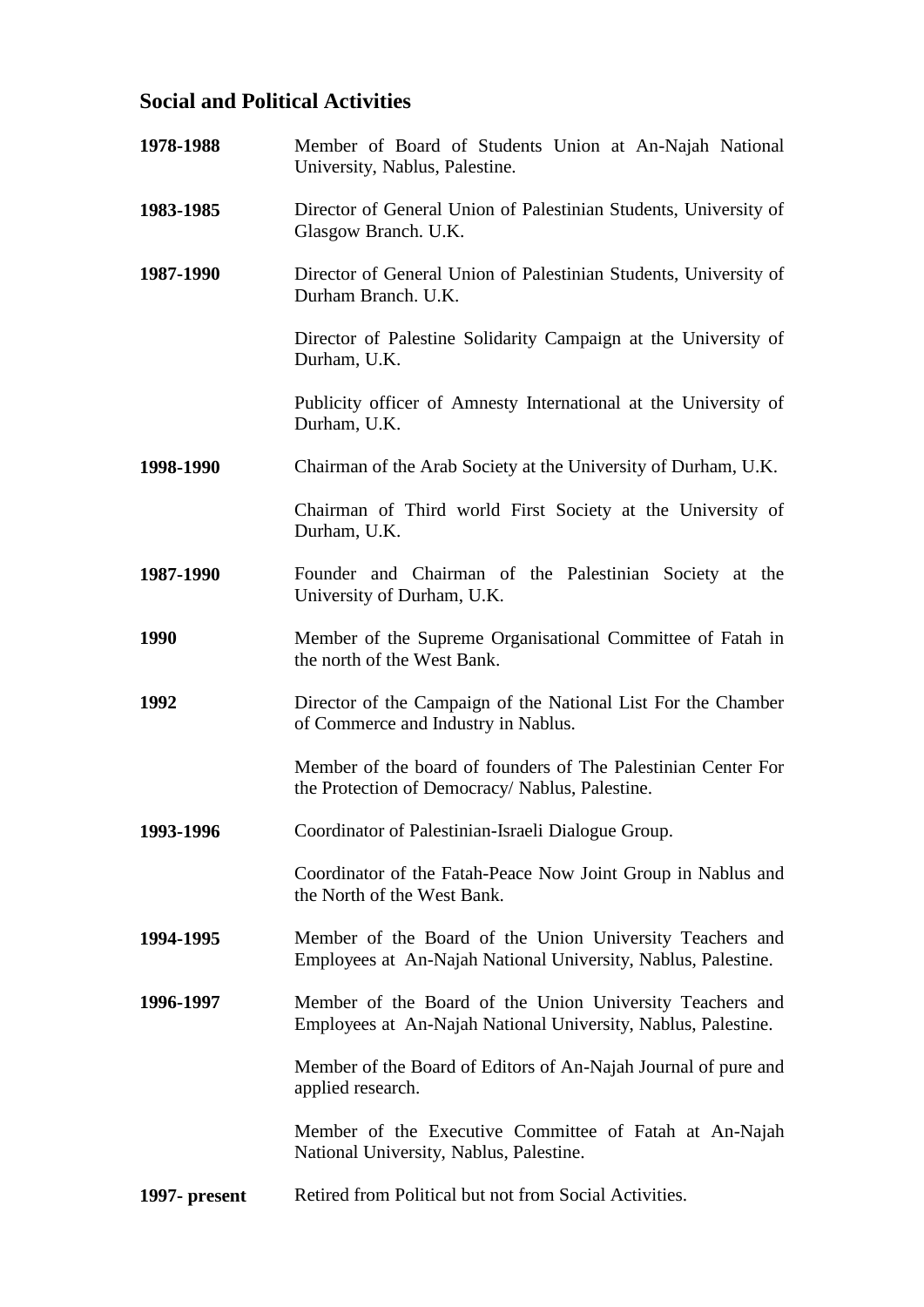## **Social and Political Activities**

| 1978-1988     | Member of Board of Students Union at An-Najah National<br>University, Nablus, Palestine.                                  |
|---------------|---------------------------------------------------------------------------------------------------------------------------|
| 1983-1985     | Director of General Union of Palestinian Students, University of<br>Glasgow Branch. U.K.                                  |
| 1987-1990     | Director of General Union of Palestinian Students, University of<br>Durham Branch. U.K.                                   |
|               | Director of Palestine Solidarity Campaign at the University of<br>Durham, U.K.                                            |
|               | Publicity officer of Amnesty International at the University of<br>Durham, U.K.                                           |
| 1998-1990     | Chairman of the Arab Society at the University of Durham, U.K.                                                            |
|               | Chairman of Third world First Society at the University of<br>Durham, U.K.                                                |
| 1987-1990     | Founder and Chairman of the Palestinian Society at the<br>University of Durham, U.K.                                      |
| 1990          | Member of the Supreme Organisational Committee of Fatah in<br>the north of the West Bank.                                 |
| 1992          | Director of the Campaign of the National List For the Chamber<br>of Commerce and Industry in Nablus.                      |
|               | Member of the board of founders of The Palestinian Center For<br>the Protection of Democracy/ Nablus, Palestine.          |
| 1993-1996     | Coordinator of Palestinian-Israeli Dialogue Group.                                                                        |
|               | Coordinator of the Fatah-Peace Now Joint Group in Nablus and<br>the North of the West Bank.                               |
| 1994-1995     | Member of the Board of the Union University Teachers and<br>Employees at An-Najah National University, Nablus, Palestine. |
| 1996-1997     | Member of the Board of the Union University Teachers and<br>Employees at An-Najah National University, Nablus, Palestine. |
|               | Member of the Board of Editors of An-Najah Journal of pure and<br>applied research.                                       |
|               | Member of the Executive Committee of Fatah at An-Najah<br>National University, Nablus, Palestine.                         |
| 1997- present | Retired from Political but not from Social Activities.                                                                    |